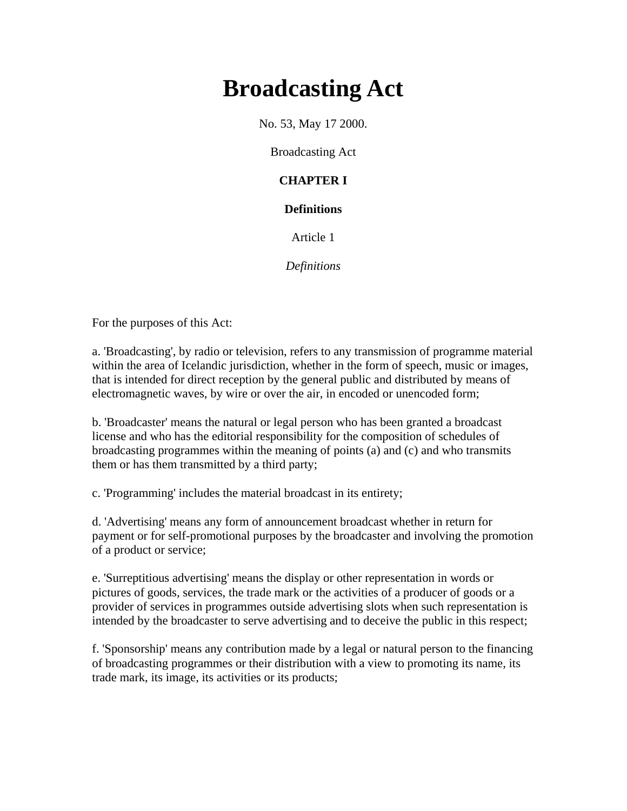# **Broadcasting Act**

No. 53, May 17 2000.

Broadcasting Act

# **CHAPTER I**

# **Definitions**

Article 1

*Definitions*

For the purposes of this Act:

a. 'Broadcasting', by radio or television, refers to any transmission of programme material within the area of Icelandic jurisdiction, whether in the form of speech, music or images, that is intended for direct reception by the general public and distributed by means of electromagnetic waves, by wire or over the air, in encoded or unencoded form;

b. 'Broadcaster' means the natural or legal person who has been granted a broadcast license and who has the editorial responsibility for the composition of schedules of broadcasting programmes within the meaning of points (a) and (c) and who transmits them or has them transmitted by a third party;

c. 'Programming' includes the material broadcast in its entirety;

d. 'Advertising' means any form of announcement broadcast whether in return for payment or for self-promotional purposes by the broadcaster and involving the promotion of a product or service;

e. 'Surreptitious advertising' means the display or other representation in words or pictures of goods, services, the trade mark or the activities of a producer of goods or a provider of services in programmes outside advertising slots when such representation is intended by the broadcaster to serve advertising and to deceive the public in this respect;

f. 'Sponsorship' means any contribution made by a legal or natural person to the financing of broadcasting programmes or their distribution with a view to promoting its name, its trade mark, its image, its activities or its products;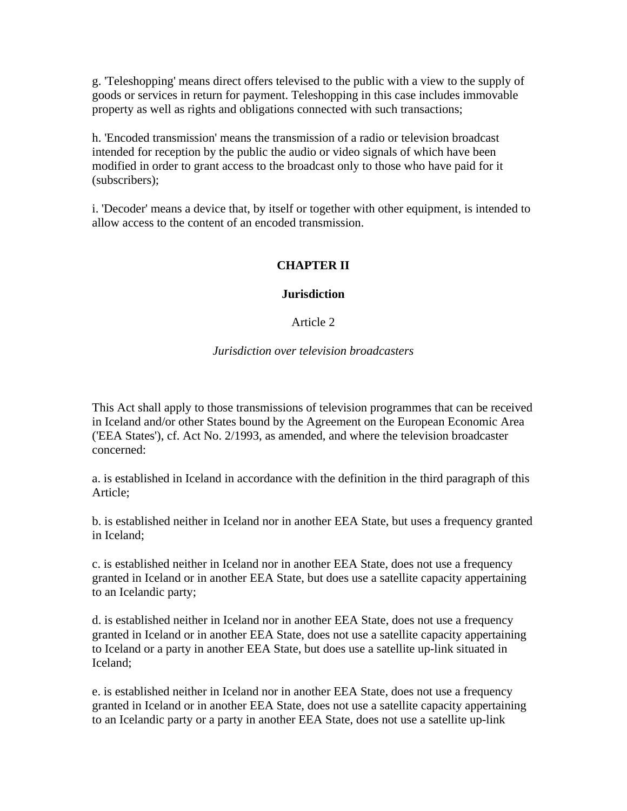g. 'Teleshopping' means direct offers televised to the public with a view to the supply of goods or services in return for payment. Teleshopping in this case includes immovable property as well as rights and obligations connected with such transactions;

h. 'Encoded transmission' means the transmission of a radio or television broadcast intended for reception by the public the audio or video signals of which have been modified in order to grant access to the broadcast only to those who have paid for it (subscribers);

i. 'Decoder' means a device that, by itself or together with other equipment, is intended to allow access to the content of an encoded transmission.

# **CHAPTER II**

#### **Jurisdiction**

#### Article 2

#### *Jurisdiction over television broadcasters*

This Act shall apply to those transmissions of television programmes that can be received in Iceland and/or other States bound by the Agreement on the European Economic Area ('EEA States'), cf. Act No. 2/1993, as amended, and where the television broadcaster concerned:

a. is established in Iceland in accordance with the definition in the third paragraph of this Article;

b. is established neither in Iceland nor in another EEA State, but uses a frequency granted in Iceland;

c. is established neither in Iceland nor in another EEA State, does not use a frequency granted in Iceland or in another EEA State, but does use a satellite capacity appertaining to an Icelandic party;

d. is established neither in Iceland nor in another EEA State, does not use a frequency granted in Iceland or in another EEA State, does not use a satellite capacity appertaining to Iceland or a party in another EEA State, but does use a satellite up-link situated in Iceland;

e. is established neither in Iceland nor in another EEA State, does not use a frequency granted in Iceland or in another EEA State, does not use a satellite capacity appertaining to an Icelandic party or a party in another EEA State, does not use a satellite up-link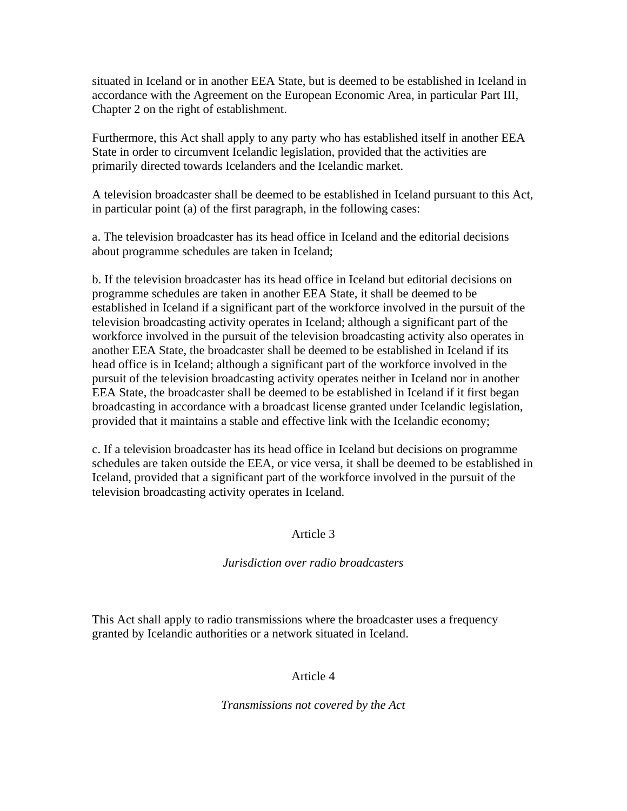situated in Iceland or in another EEA State, but is deemed to be established in Iceland in accordance with the Agreement on the European Economic Area, in particular Part III, Chapter 2 on the right of establishment.

Furthermore, this Act shall apply to any party who has established itself in another EEA State in order to circumvent Icelandic legislation, provided that the activities are primarily directed towards Icelanders and the Icelandic market.

A television broadcaster shall be deemed to be established in Iceland pursuant to this Act, in particular point (a) of the first paragraph, in the following cases:

a. The television broadcaster has its head office in Iceland and the editorial decisions about programme schedules are taken in Iceland;

b. If the television broadcaster has its head office in Iceland but editorial decisions on programme schedules are taken in another EEA State, it shall be deemed to be established in Iceland if a significant part of the workforce involved in the pursuit of the television broadcasting activity operates in Iceland; although a significant part of the workforce involved in the pursuit of the television broadcasting activity also operates in another EEA State, the broadcaster shall be deemed to be established in Iceland if its head office is in Iceland; although a significant part of the workforce involved in the pursuit of the television broadcasting activity operates neither in Iceland nor in another EEA State, the broadcaster shall be deemed to be established in Iceland if it first began broadcasting in accordance with a broadcast license granted under Icelandic legislation, provided that it maintains a stable and effective link with the Icelandic economy;

c. If a television broadcaster has its head office in Iceland but decisions on programme schedules are taken outside the EEA, or vice versa, it shall be deemed to be established in Iceland, provided that a significant part of the workforce involved in the pursuit of the television broadcasting activity operates in Iceland.

#### Article 3

# *Jurisdiction over radio broadcasters*

This Act shall apply to radio transmissions where the broadcaster uses a frequency granted by Icelandic authorities or a network situated in Iceland.

# Article 4

#### *Transmissions not covered by the Act*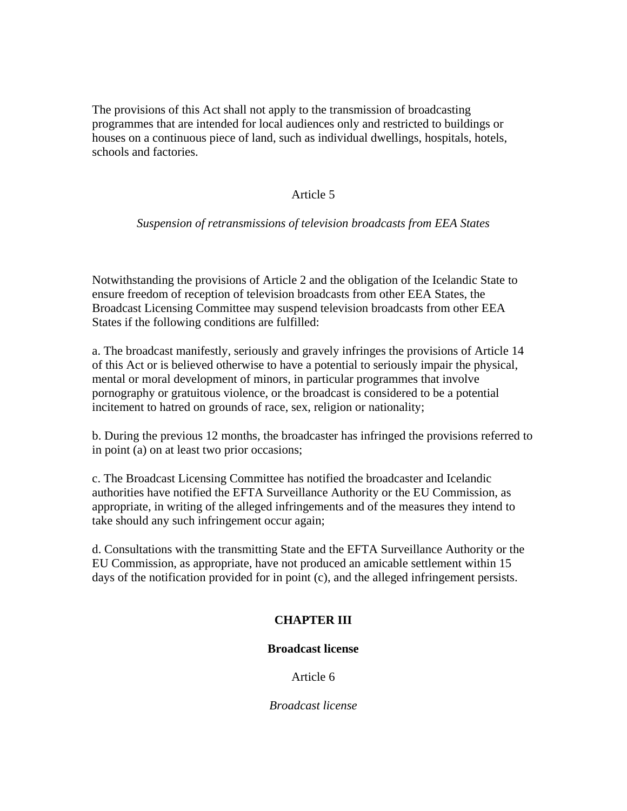The provisions of this Act shall not apply to the transmission of broadcasting programmes that are intended for local audiences only and restricted to buildings or houses on a continuous piece of land, such as individual dwellings, hospitals, hotels, schools and factories.

#### Article 5

#### *Suspension of retransmissions of television broadcasts from EEA States*

Notwithstanding the provisions of Article 2 and the obligation of the Icelandic State to ensure freedom of reception of television broadcasts from other EEA States, the Broadcast Licensing Committee may suspend television broadcasts from other EEA States if the following conditions are fulfilled:

a. The broadcast manifestly, seriously and gravely infringes the provisions of Article 14 of this Act or is believed otherwise to have a potential to seriously impair the physical, mental or moral development of minors, in particular programmes that involve pornography or gratuitous violence, or the broadcast is considered to be a potential incitement to hatred on grounds of race, sex, religion or nationality;

b. During the previous 12 months, the broadcaster has infringed the provisions referred to in point (a) on at least two prior occasions;

c. The Broadcast Licensing Committee has notified the broadcaster and Icelandic authorities have notified the EFTA Surveillance Authority or the EU Commission, as appropriate, in writing of the alleged infringements and of the measures they intend to take should any such infringement occur again;

d. Consultations with the transmitting State and the EFTA Surveillance Authority or the EU Commission, as appropriate, have not produced an amicable settlement within 15 days of the notification provided for in point (c), and the alleged infringement persists.

# **CHAPTER III**

#### **Broadcast license**

Article 6

*Broadcast license*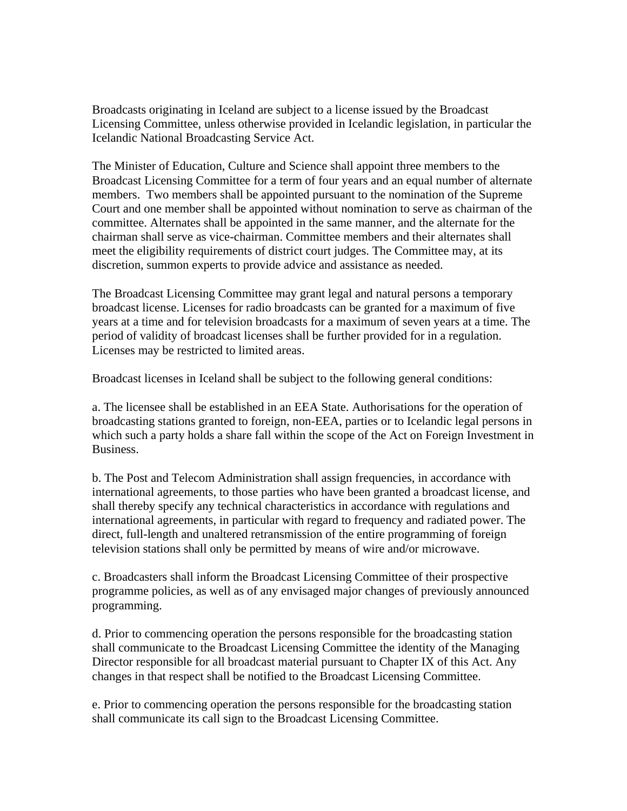Broadcasts originating in Iceland are subject to a license issued by the Broadcast Licensing Committee, unless otherwise provided in Icelandic legislation, in particular the Icelandic National Broadcasting Service Act.

The Minister of Education, Culture and Science shall appoint three members to the Broadcast Licensing Committee for a term of four years and an equal number of alternate members. Two members shall be appointed pursuant to the nomination of the Supreme Court and one member shall be appointed without nomination to serve as chairman of the committee. Alternates shall be appointed in the same manner, and the alternate for the chairman shall serve as vice-chairman. Committee members and their alternates shall meet the eligibility requirements of district court judges. The Committee may, at its discretion, summon experts to provide advice and assistance as needed.

The Broadcast Licensing Committee may grant legal and natural persons a temporary broadcast license. Licenses for radio broadcasts can be granted for a maximum of five years at a time and for television broadcasts for a maximum of seven years at a time. The period of validity of broadcast licenses shall be further provided for in a regulation. Licenses may be restricted to limited areas.

Broadcast licenses in Iceland shall be subject to the following general conditions:

a. The licensee shall be established in an EEA State. Authorisations for the operation of broadcasting stations granted to foreign, non-EEA, parties or to Icelandic legal persons in which such a party holds a share fall within the scope of the Act on Foreign Investment in Business.

b. The Post and Telecom Administration shall assign frequencies, in accordance with international agreements, to those parties who have been granted a broadcast license, and shall thereby specify any technical characteristics in accordance with regulations and international agreements, in particular with regard to frequency and radiated power. The direct, full-length and unaltered retransmission of the entire programming of foreign television stations shall only be permitted by means of wire and/or microwave.

c. Broadcasters shall inform the Broadcast Licensing Committee of their prospective programme policies, as well as of any envisaged major changes of previously announced programming.

d. Prior to commencing operation the persons responsible for the broadcasting station shall communicate to the Broadcast Licensing Committee the identity of the Managing Director responsible for all broadcast material pursuant to Chapter IX of this Act. Any changes in that respect shall be notified to the Broadcast Licensing Committee.

e. Prior to commencing operation the persons responsible for the broadcasting station shall communicate its call sign to the Broadcast Licensing Committee.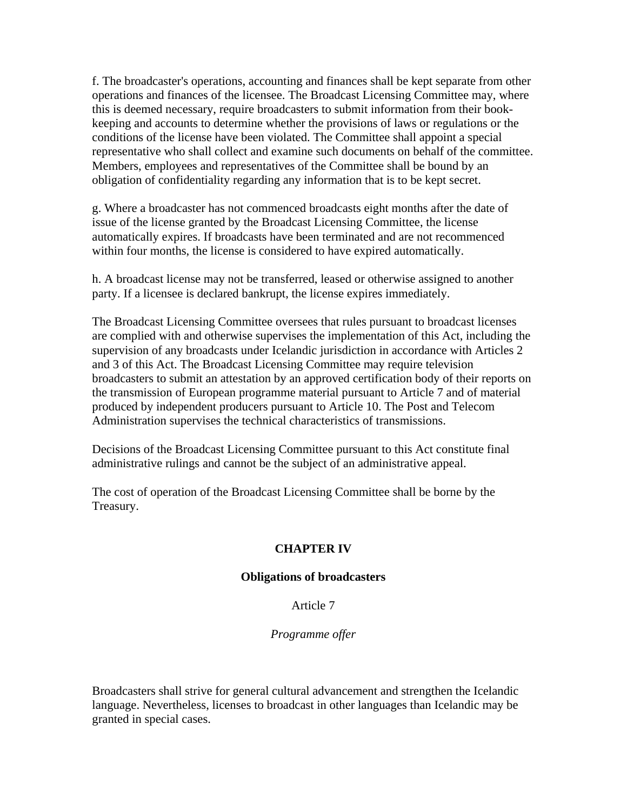f. The broadcaster's operations, accounting and finances shall be kept separate from other operations and finances of the licensee. The Broadcast Licensing Committee may, where this is deemed necessary, require broadcasters to submit information from their bookkeeping and accounts to determine whether the provisions of laws or regulations or the conditions of the license have been violated. The Committee shall appoint a special representative who shall collect and examine such documents on behalf of the committee. Members, employees and representatives of the Committee shall be bound by an obligation of confidentiality regarding any information that is to be kept secret.

g. Where a broadcaster has not commenced broadcasts eight months after the date of issue of the license granted by the Broadcast Licensing Committee, the license automatically expires. If broadcasts have been terminated and are not recommenced within four months, the license is considered to have expired automatically.

h. A broadcast license may not be transferred, leased or otherwise assigned to another party. If a licensee is declared bankrupt, the license expires immediately.

The Broadcast Licensing Committee oversees that rules pursuant to broadcast licenses are complied with and otherwise supervises the implementation of this Act, including the supervision of any broadcasts under Icelandic jurisdiction in accordance with Articles 2 and 3 of this Act. The Broadcast Licensing Committee may require television broadcasters to submit an attestation by an approved certification body of their reports on the transmission of European programme material pursuant to Article 7 and of material produced by independent producers pursuant to Article 10. The Post and Telecom Administration supervises the technical characteristics of transmissions.

Decisions of the Broadcast Licensing Committee pursuant to this Act constitute final administrative rulings and cannot be the subject of an administrative appeal.

The cost of operation of the Broadcast Licensing Committee shall be borne by the Treasury.

# **CHAPTER IV**

#### **Obligations of broadcasters**

#### Article 7

#### *Programme offer*

Broadcasters shall strive for general cultural advancement and strengthen the Icelandic language. Nevertheless, licenses to broadcast in other languages than Icelandic may be granted in special cases.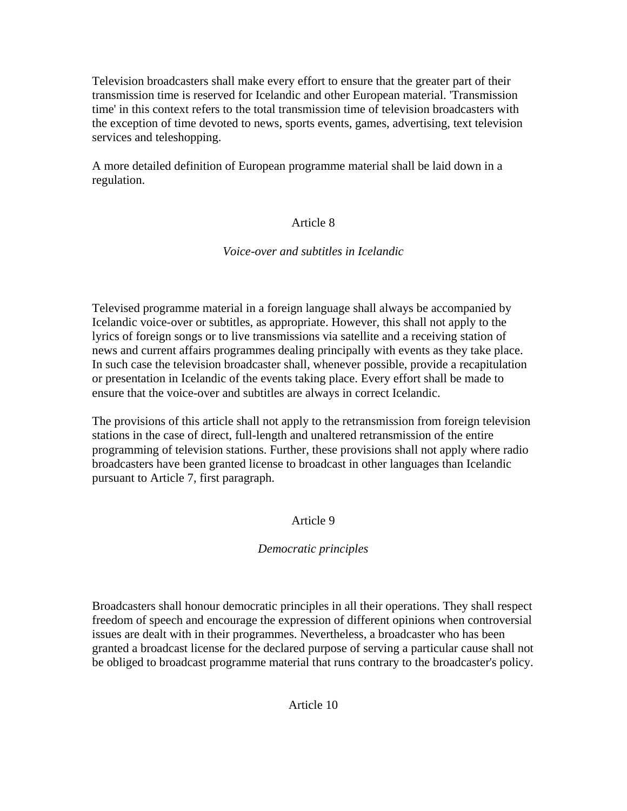Television broadcasters shall make every effort to ensure that the greater part of their transmission time is reserved for Icelandic and other European material. 'Transmission time' in this context refers to the total transmission time of television broadcasters with the exception of time devoted to news, sports events, games, advertising, text television services and teleshopping.

A more detailed definition of European programme material shall be laid down in a regulation.

# Article 8

# *Voice-over and subtitles in Icelandic*

Televised programme material in a foreign language shall always be accompanied by Icelandic voice-over or subtitles, as appropriate. However, this shall not apply to the lyrics of foreign songs or to live transmissions via satellite and a receiving station of news and current affairs programmes dealing principally with events as they take place. In such case the television broadcaster shall, whenever possible, provide a recapitulation or presentation in Icelandic of the events taking place. Every effort shall be made to ensure that the voice-over and subtitles are always in correct Icelandic.

The provisions of this article shall not apply to the retransmission from foreign television stations in the case of direct, full-length and unaltered retransmission of the entire programming of television stations. Further, these provisions shall not apply where radio broadcasters have been granted license to broadcast in other languages than Icelandic pursuant to Article 7, first paragraph.

# Article 9

# *Democratic principles*

Broadcasters shall honour democratic principles in all their operations. They shall respect freedom of speech and encourage the expression of different opinions when controversial issues are dealt with in their programmes. Nevertheless, a broadcaster who has been granted a broadcast license for the declared purpose of serving a particular cause shall not be obliged to broadcast programme material that runs contrary to the broadcaster's policy.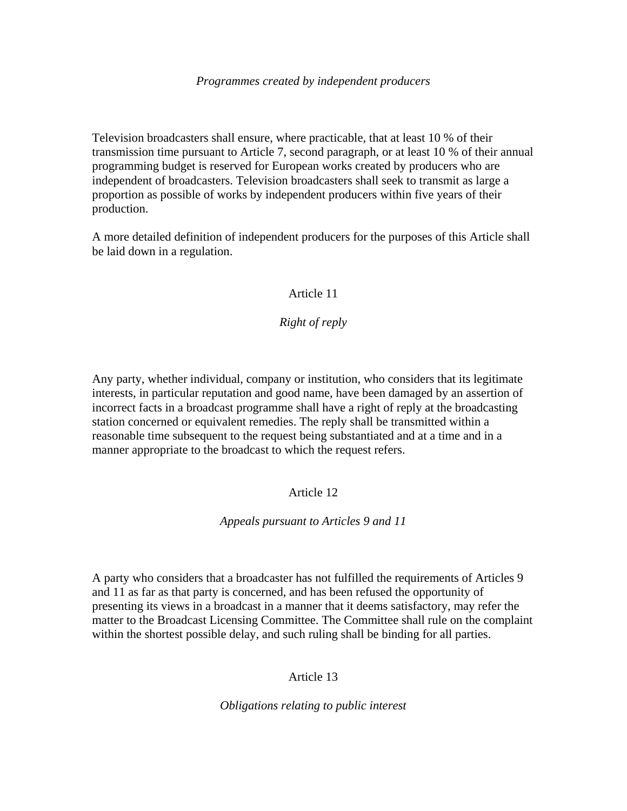#### *Programmes created by independent producers*

Television broadcasters shall ensure, where practicable, that at least 10 % of their transmission time pursuant to Article 7, second paragraph, or at least 10 % of their annual programming budget is reserved for European works created by producers who are independent of broadcasters. Television broadcasters shall seek to transmit as large a proportion as possible of works by independent producers within five years of their production.

A more detailed definition of independent producers for the purposes of this Article shall be laid down in a regulation.

## Article 11

# *Right of reply*

Any party, whether individual, company or institution, who considers that its legitimate interests, in particular reputation and good name, have been damaged by an assertion of incorrect facts in a broadcast programme shall have a right of reply at the broadcasting station concerned or equivalent remedies. The reply shall be transmitted within a reasonable time subsequent to the request being substantiated and at a time and in a manner appropriate to the broadcast to which the request refers.

# Article 12

# *Appeals pursuant to Articles 9 and 11*

A party who considers that a broadcaster has not fulfilled the requirements of Articles 9 and 11 as far as that party is concerned, and has been refused the opportunity of presenting its views in a broadcast in a manner that it deems satisfactory, may refer the matter to the Broadcast Licensing Committee. The Committee shall rule on the complaint within the shortest possible delay, and such ruling shall be binding for all parties.

# Article 13

*Obligations relating to public interest*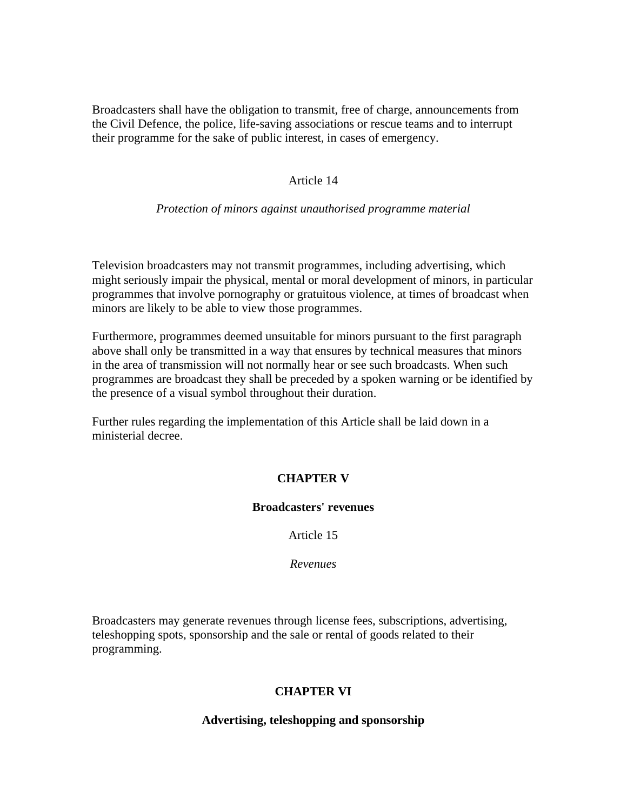Broadcasters shall have the obligation to transmit, free of charge, announcements from the Civil Defence, the police, life-saving associations or rescue teams and to interrupt their programme for the sake of public interest, in cases of emergency.

#### Article 14

#### *Protection of minors against unauthorised programme material*

Television broadcasters may not transmit programmes, including advertising, which might seriously impair the physical, mental or moral development of minors, in particular programmes that involve pornography or gratuitous violence, at times of broadcast when minors are likely to be able to view those programmes.

Furthermore, programmes deemed unsuitable for minors pursuant to the first paragraph above shall only be transmitted in a way that ensures by technical measures that minors in the area of transmission will not normally hear or see such broadcasts. When such programmes are broadcast they shall be preceded by a spoken warning or be identified by the presence of a visual symbol throughout their duration.

Further rules regarding the implementation of this Article shall be laid down in a ministerial decree.

# **CHAPTER V**

#### **Broadcasters' revenues**

Article 15

*Revenues*

Broadcasters may generate revenues through license fees, subscriptions, advertising, teleshopping spots, sponsorship and the sale or rental of goods related to their programming.

# **CHAPTER VI**

#### **Advertising, teleshopping and sponsorship**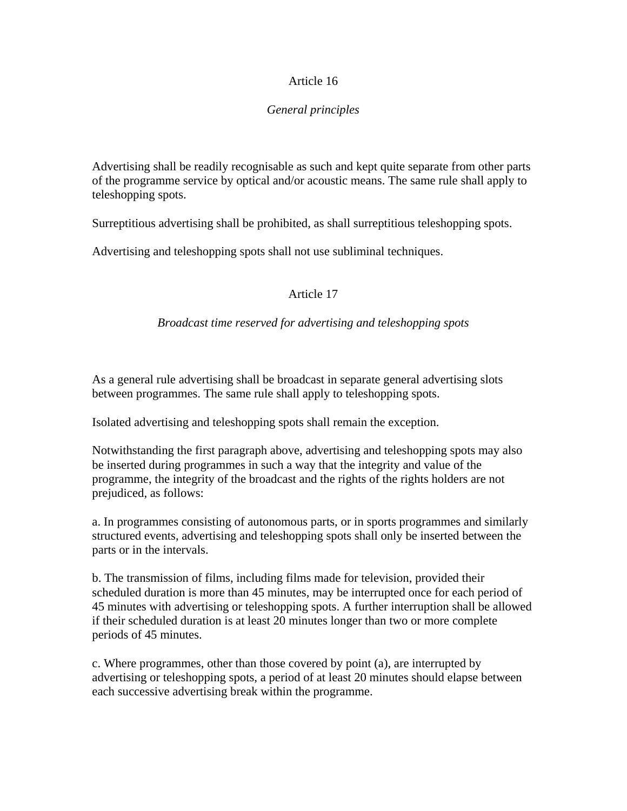# Article 16

# *General principles*

Advertising shall be readily recognisable as such and kept quite separate from other parts of the programme service by optical and/or acoustic means. The same rule shall apply to teleshopping spots.

Surreptitious advertising shall be prohibited, as shall surreptitious teleshopping spots.

Advertising and teleshopping spots shall not use subliminal techniques.

# Article 17

# *Broadcast time reserved for advertising and teleshopping spots*

As a general rule advertising shall be broadcast in separate general advertising slots between programmes. The same rule shall apply to teleshopping spots.

Isolated advertising and teleshopping spots shall remain the exception.

Notwithstanding the first paragraph above, advertising and teleshopping spots may also be inserted during programmes in such a way that the integrity and value of the programme, the integrity of the broadcast and the rights of the rights holders are not prejudiced, as follows:

a. In programmes consisting of autonomous parts, or in sports programmes and similarly structured events, advertising and teleshopping spots shall only be inserted between the parts or in the intervals.

b. The transmission of films, including films made for television, provided their scheduled duration is more than 45 minutes, may be interrupted once for each period of 45 minutes with advertising or teleshopping spots. A further interruption shall be allowed if their scheduled duration is at least 20 minutes longer than two or more complete periods of 45 minutes.

c. Where programmes, other than those covered by point (a), are interrupted by advertising or teleshopping spots, a period of at least 20 minutes should elapse between each successive advertising break within the programme.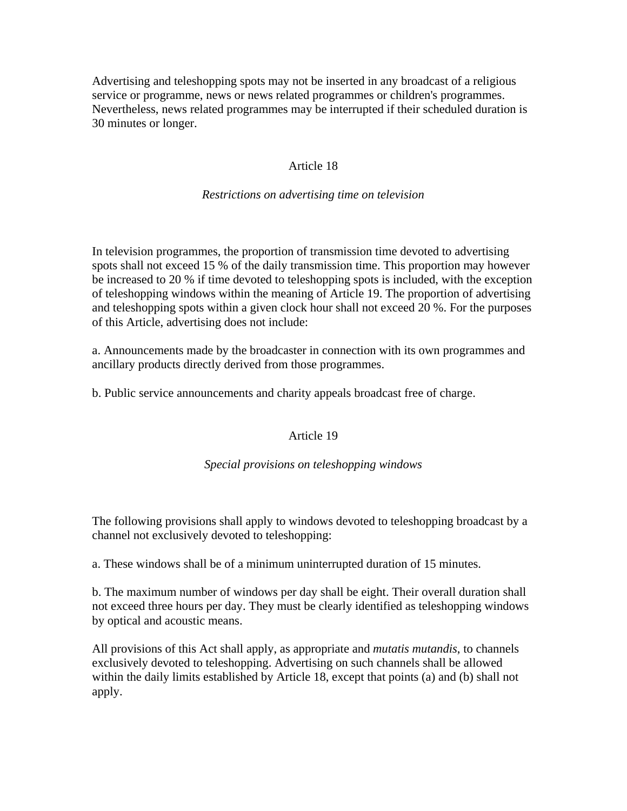Advertising and teleshopping spots may not be inserted in any broadcast of a religious service or programme, news or news related programmes or children's programmes. Nevertheless, news related programmes may be interrupted if their scheduled duration is 30 minutes or longer.

# Article 18

## *Restrictions on advertising time on television*

In television programmes, the proportion of transmission time devoted to advertising spots shall not exceed 15 % of the daily transmission time. This proportion may however be increased to 20 % if time devoted to teleshopping spots is included, with the exception of teleshopping windows within the meaning of Article 19. The proportion of advertising and teleshopping spots within a given clock hour shall not exceed 20 %. For the purposes of this Article, advertising does not include:

a. Announcements made by the broadcaster in connection with its own programmes and ancillary products directly derived from those programmes.

b. Public service announcements and charity appeals broadcast free of charge.

# Article 19

#### *Special provisions on teleshopping windows*

The following provisions shall apply to windows devoted to teleshopping broadcast by a channel not exclusively devoted to teleshopping:

a. These windows shall be of a minimum uninterrupted duration of 15 minutes.

b. The maximum number of windows per day shall be eight. Their overall duration shall not exceed three hours per day. They must be clearly identified as teleshopping windows by optical and acoustic means.

All provisions of this Act shall apply, as appropriate and *mutatis mutandis*, to channels exclusively devoted to teleshopping. Advertising on such channels shall be allowed within the daily limits established by Article 18, except that points (a) and (b) shall not apply.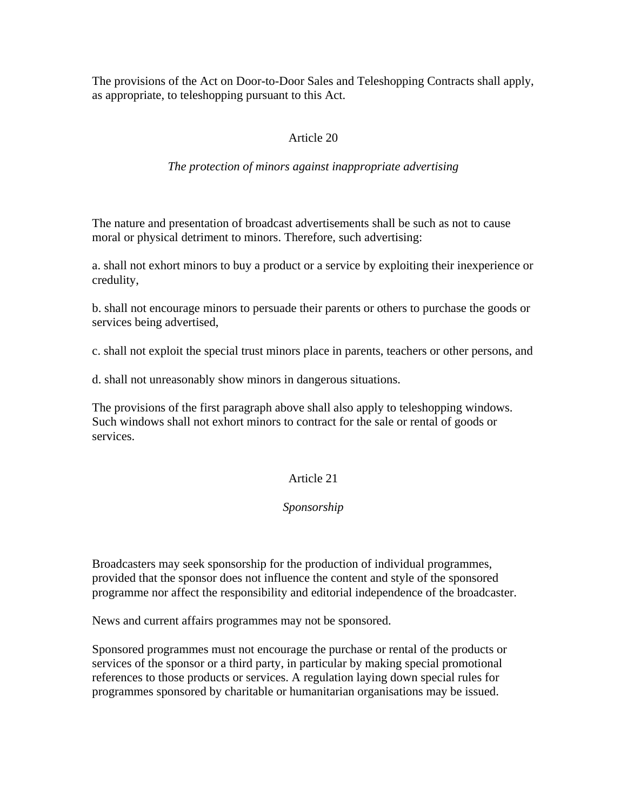The provisions of the Act on Door-to-Door Sales and Teleshopping Contracts shall apply, as appropriate, to teleshopping pursuant to this Act.

## Article 20

#### *The protection of minors against inappropriate advertising*

The nature and presentation of broadcast advertisements shall be such as not to cause moral or physical detriment to minors. Therefore, such advertising:

a. shall not exhort minors to buy a product or a service by exploiting their inexperience or credulity,

b. shall not encourage minors to persuade their parents or others to purchase the goods or services being advertised,

c. shall not exploit the special trust minors place in parents, teachers or other persons, and

d. shall not unreasonably show minors in dangerous situations.

The provisions of the first paragraph above shall also apply to teleshopping windows. Such windows shall not exhort minors to contract for the sale or rental of goods or services.

#### Article 21

#### *Sponsorship*

Broadcasters may seek sponsorship for the production of individual programmes, provided that the sponsor does not influence the content and style of the sponsored programme nor affect the responsibility and editorial independence of the broadcaster.

News and current affairs programmes may not be sponsored.

Sponsored programmes must not encourage the purchase or rental of the products or services of the sponsor or a third party, in particular by making special promotional references to those products or services. A regulation laying down special rules for programmes sponsored by charitable or humanitarian organisations may be issued.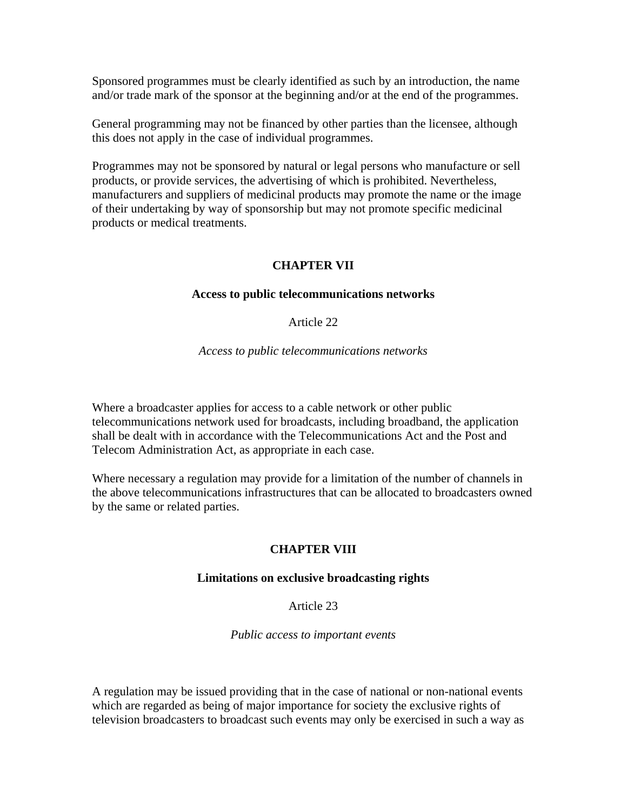Sponsored programmes must be clearly identified as such by an introduction, the name and/or trade mark of the sponsor at the beginning and/or at the end of the programmes.

General programming may not be financed by other parties than the licensee, although this does not apply in the case of individual programmes.

Programmes may not be sponsored by natural or legal persons who manufacture or sell products, or provide services, the advertising of which is prohibited. Nevertheless, manufacturers and suppliers of medicinal products may promote the name or the image of their undertaking by way of sponsorship but may not promote specific medicinal products or medical treatments.

# **CHAPTER VII**

#### **Access to public telecommunications networks**

## Article 22

#### *Access to public telecommunications networks*

Where a broadcaster applies for access to a cable network or other public telecommunications network used for broadcasts, including broadband, the application shall be dealt with in accordance with the Telecommunications Act and the Post and Telecom Administration Act, as appropriate in each case.

Where necessary a regulation may provide for a limitation of the number of channels in the above telecommunications infrastructures that can be allocated to broadcasters owned by the same or related parties.

# **CHAPTER VIII**

#### **Limitations on exclusive broadcasting rights**

Article 23

*Public access to important events*

A regulation may be issued providing that in the case of national or non-national events which are regarded as being of major importance for society the exclusive rights of television broadcasters to broadcast such events may only be exercised in such a way as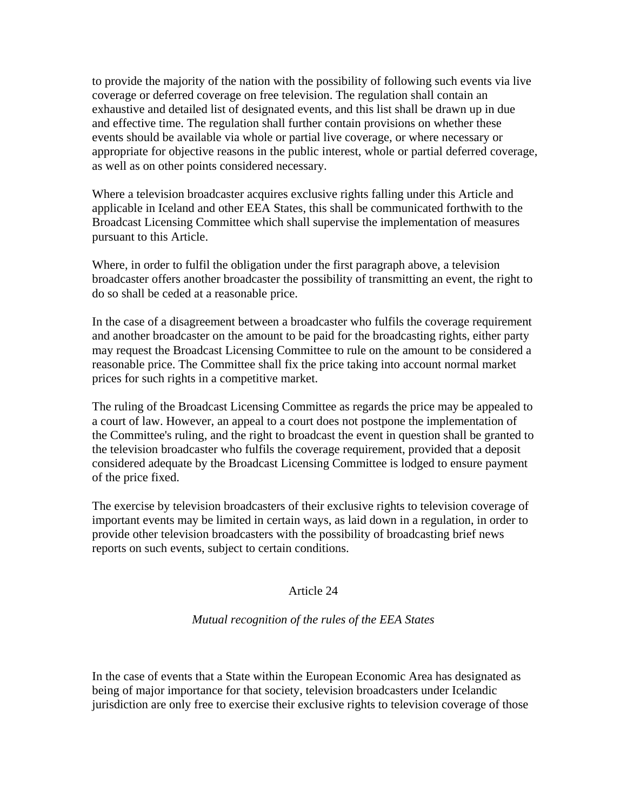to provide the majority of the nation with the possibility of following such events via live coverage or deferred coverage on free television. The regulation shall contain an exhaustive and detailed list of designated events, and this list shall be drawn up in due and effective time. The regulation shall further contain provisions on whether these events should be available via whole or partial live coverage, or where necessary or appropriate for objective reasons in the public interest, whole or partial deferred coverage, as well as on other points considered necessary.

Where a television broadcaster acquires exclusive rights falling under this Article and applicable in Iceland and other EEA States, this shall be communicated forthwith to the Broadcast Licensing Committee which shall supervise the implementation of measures pursuant to this Article.

Where, in order to fulfil the obligation under the first paragraph above, a television broadcaster offers another broadcaster the possibility of transmitting an event, the right to do so shall be ceded at a reasonable price.

In the case of a disagreement between a broadcaster who fulfils the coverage requirement and another broadcaster on the amount to be paid for the broadcasting rights, either party may request the Broadcast Licensing Committee to rule on the amount to be considered a reasonable price. The Committee shall fix the price taking into account normal market prices for such rights in a competitive market.

The ruling of the Broadcast Licensing Committee as regards the price may be appealed to a court of law. However, an appeal to a court does not postpone the implementation of the Committee's ruling, and the right to broadcast the event in question shall be granted to the television broadcaster who fulfils the coverage requirement, provided that a deposit considered adequate by the Broadcast Licensing Committee is lodged to ensure payment of the price fixed.

The exercise by television broadcasters of their exclusive rights to television coverage of important events may be limited in certain ways, as laid down in a regulation, in order to provide other television broadcasters with the possibility of broadcasting brief news reports on such events, subject to certain conditions.

#### Article 24

# *Mutual recognition of the rules of the EEA States*

In the case of events that a State within the European Economic Area has designated as being of major importance for that society, television broadcasters under Icelandic jurisdiction are only free to exercise their exclusive rights to television coverage of those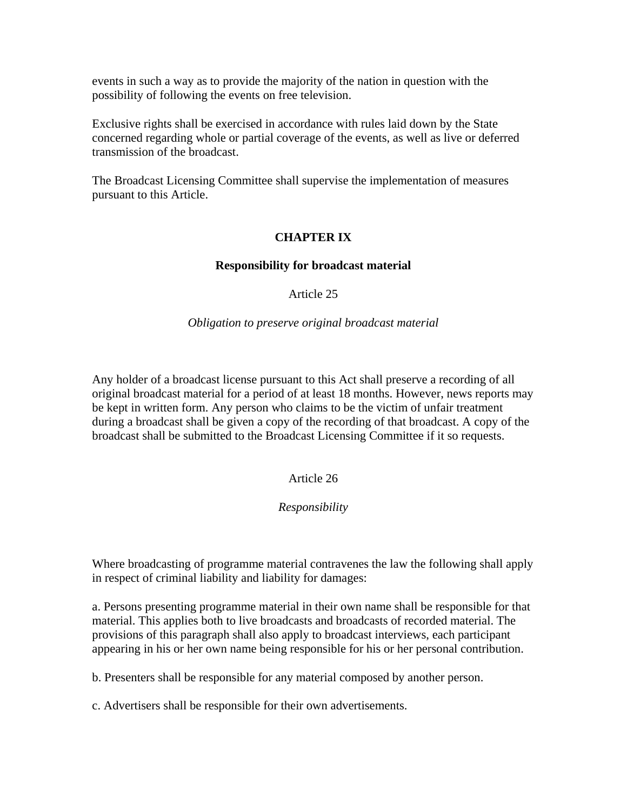events in such a way as to provide the majority of the nation in question with the possibility of following the events on free television.

Exclusive rights shall be exercised in accordance with rules laid down by the State concerned regarding whole or partial coverage of the events, as well as live or deferred transmission of the broadcast.

The Broadcast Licensing Committee shall supervise the implementation of measures pursuant to this Article.

# **CHAPTER IX**

## **Responsibility for broadcast material**

Article 25

*Obligation to preserve original broadcast material*

Any holder of a broadcast license pursuant to this Act shall preserve a recording of all original broadcast material for a period of at least 18 months. However, news reports may be kept in written form. Any person who claims to be the victim of unfair treatment during a broadcast shall be given a copy of the recording of that broadcast. A copy of the broadcast shall be submitted to the Broadcast Licensing Committee if it so requests.

# Article 26

# *Responsibility*

Where broadcasting of programme material contravenes the law the following shall apply in respect of criminal liability and liability for damages:

a. Persons presenting programme material in their own name shall be responsible for that material. This applies both to live broadcasts and broadcasts of recorded material. The provisions of this paragraph shall also apply to broadcast interviews, each participant appearing in his or her own name being responsible for his or her personal contribution.

b. Presenters shall be responsible for any material composed by another person.

c. Advertisers shall be responsible for their own advertisements.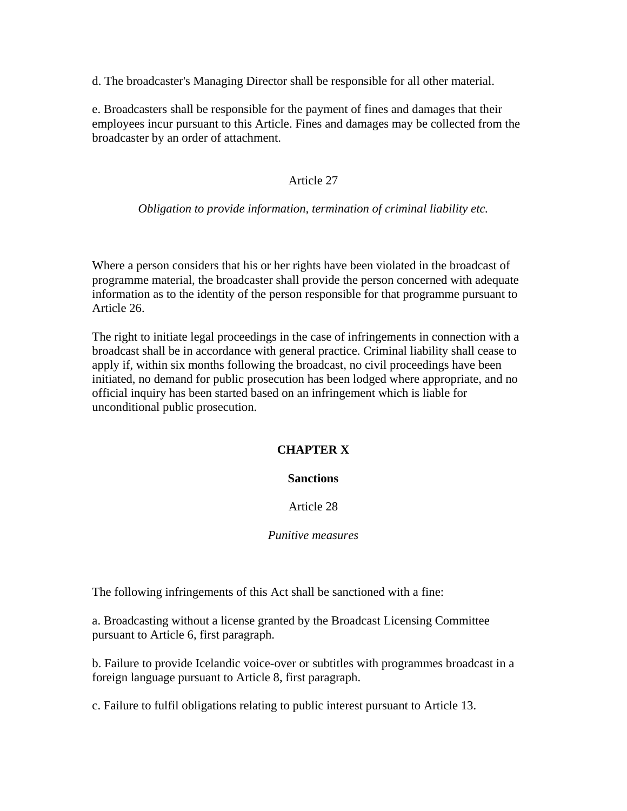d. The broadcaster's Managing Director shall be responsible for all other material.

e. Broadcasters shall be responsible for the payment of fines and damages that their employees incur pursuant to this Article. Fines and damages may be collected from the broadcaster by an order of attachment.

## Article 27

#### *Obligation to provide information, termination of criminal liability etc.*

Where a person considers that his or her rights have been violated in the broadcast of programme material, the broadcaster shall provide the person concerned with adequate information as to the identity of the person responsible for that programme pursuant to Article 26.

The right to initiate legal proceedings in the case of infringements in connection with a broadcast shall be in accordance with general practice. Criminal liability shall cease to apply if, within six months following the broadcast, no civil proceedings have been initiated, no demand for public prosecution has been lodged where appropriate, and no official inquiry has been started based on an infringement which is liable for unconditional public prosecution.

#### **CHAPTER X**

#### **Sanctions**

#### Article 28

#### *Punitive measures*

The following infringements of this Act shall be sanctioned with a fine:

a. Broadcasting without a license granted by the Broadcast Licensing Committee pursuant to Article 6, first paragraph.

b. Failure to provide Icelandic voice-over or subtitles with programmes broadcast in a foreign language pursuant to Article 8, first paragraph.

c. Failure to fulfil obligations relating to public interest pursuant to Article 13.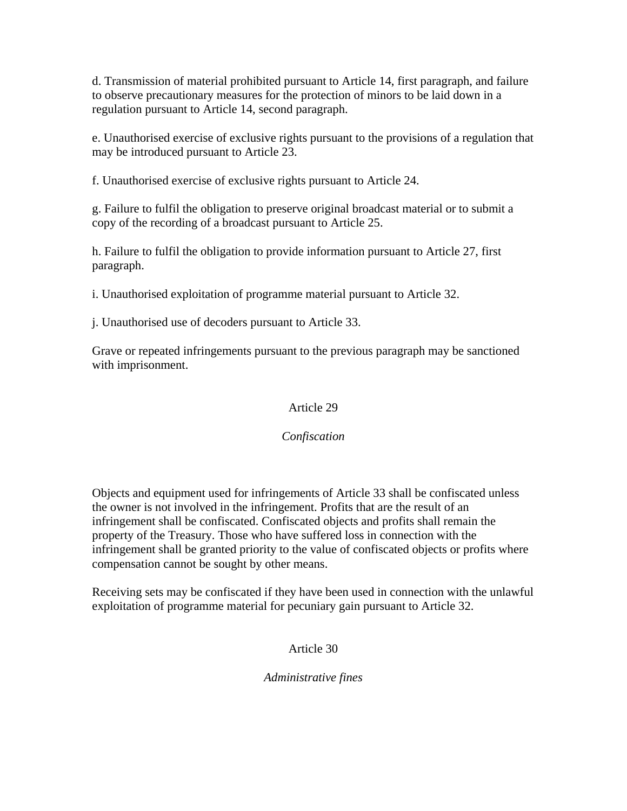d. Transmission of material prohibited pursuant to Article 14, first paragraph, and failure to observe precautionary measures for the protection of minors to be laid down in a regulation pursuant to Article 14, second paragraph.

e. Unauthorised exercise of exclusive rights pursuant to the provisions of a regulation that may be introduced pursuant to Article 23.

f. Unauthorised exercise of exclusive rights pursuant to Article 24.

g. Failure to fulfil the obligation to preserve original broadcast material or to submit a copy of the recording of a broadcast pursuant to Article 25.

h. Failure to fulfil the obligation to provide information pursuant to Article 27, first paragraph.

i. Unauthorised exploitation of programme material pursuant to Article 32.

j. Unauthorised use of decoders pursuant to Article 33.

Grave or repeated infringements pursuant to the previous paragraph may be sanctioned with imprisonment.

# Article 29

# *Confiscation*

Objects and equipment used for infringements of Article 33 shall be confiscated unless the owner is not involved in the infringement. Profits that are the result of an infringement shall be confiscated. Confiscated objects and profits shall remain the property of the Treasury. Those who have suffered loss in connection with the infringement shall be granted priority to the value of confiscated objects or profits where compensation cannot be sought by other means.

Receiving sets may be confiscated if they have been used in connection with the unlawful exploitation of programme material for pecuniary gain pursuant to Article 32.

# Article 30

# *Administrative fines*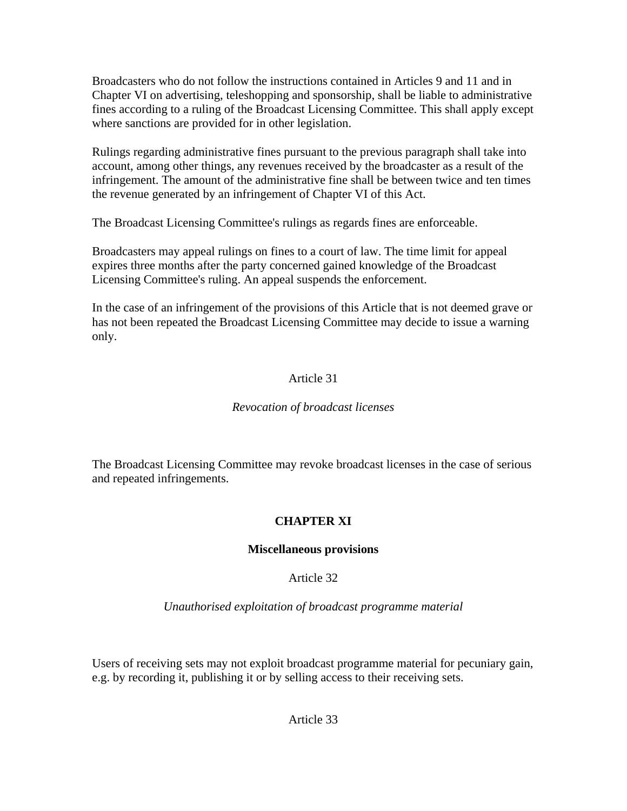Broadcasters who do not follow the instructions contained in Articles 9 and 11 and in Chapter VI on advertising, teleshopping and sponsorship, shall be liable to administrative fines according to a ruling of the Broadcast Licensing Committee. This shall apply except where sanctions are provided for in other legislation.

Rulings regarding administrative fines pursuant to the previous paragraph shall take into account, among other things, any revenues received by the broadcaster as a result of the infringement. The amount of the administrative fine shall be between twice and ten times the revenue generated by an infringement of Chapter VI of this Act.

The Broadcast Licensing Committee's rulings as regards fines are enforceable.

Broadcasters may appeal rulings on fines to a court of law. The time limit for appeal expires three months after the party concerned gained knowledge of the Broadcast Licensing Committee's ruling. An appeal suspends the enforcement.

In the case of an infringement of the provisions of this Article that is not deemed grave or has not been repeated the Broadcast Licensing Committee may decide to issue a warning only.

# Article 31

# *Revocation of broadcast licenses*

The Broadcast Licensing Committee may revoke broadcast licenses in the case of serious and repeated infringements.

# **CHAPTER XI**

# **Miscellaneous provisions**

# Article 32

*Unauthorised exploitation of broadcast programme material*

Users of receiving sets may not exploit broadcast programme material for pecuniary gain, e.g. by recording it, publishing it or by selling access to their receiving sets.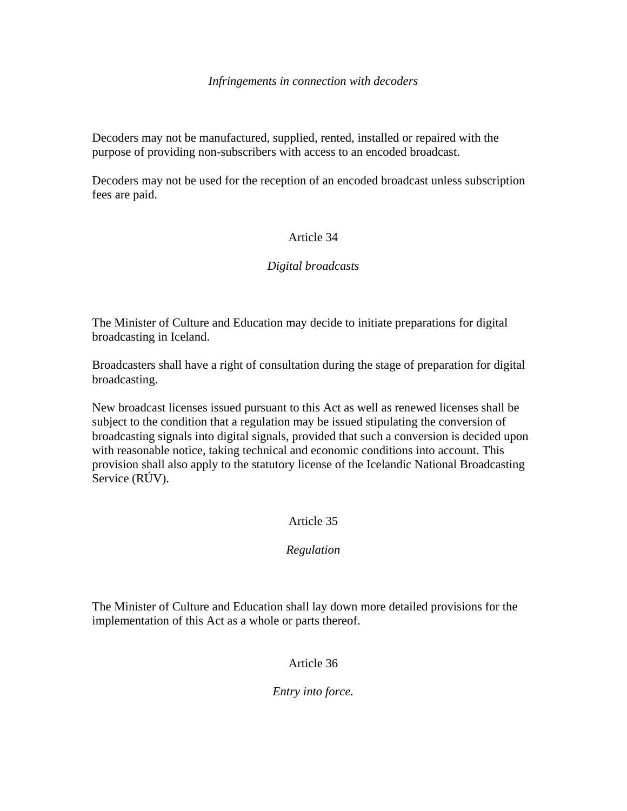#### *Infringements in connection with decoders*

Decoders may not be manufactured, supplied, rented, installed or repaired with the purpose of providing non-subscribers with access to an encoded broadcast.

Decoders may not be used for the reception of an encoded broadcast unless subscription fees are paid.

# Article 34

# *Digital broadcasts*

The Minister of Culture and Education may decide to initiate preparations for digital broadcasting in Iceland.

Broadcasters shall have a right of consultation during the stage of preparation for digital broadcasting.

New broadcast licenses issued pursuant to this Act as well as renewed licenses shall be subject to the condition that a regulation may be issued stipulating the conversion of broadcasting signals into digital signals, provided that such a conversion is decided upon with reasonable notice, taking technical and economic conditions into account. This provision shall also apply to the statutory license of the Icelandic National Broadcasting Service (RÚV).

# Article 35

# *Regulation*

The Minister of Culture and Education shall lay down more detailed provisions for the implementation of this Act as a whole or parts thereof.

# Article 36

*Entry into force.*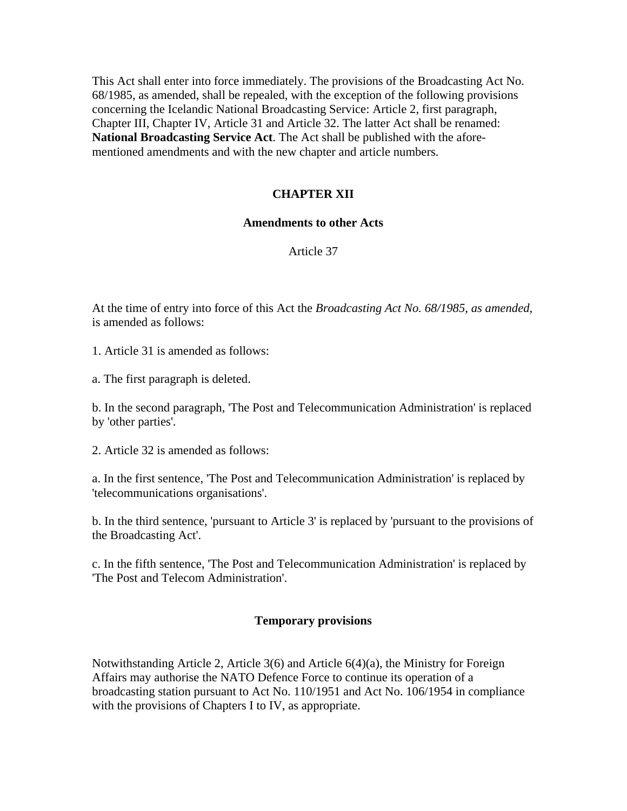This Act shall enter into force immediately. The provisions of the Broadcasting Act No. 68/1985, as amended, shall be repealed, with the exception of the following provisions concerning the Icelandic National Broadcasting Service: Article 2, first paragraph, Chapter III, Chapter IV, Article 31 and Article 32. The latter Act shall be renamed: **National Broadcasting Service Act**. The Act shall be published with the aforementioned amendments and with the new chapter and article numbers.

#### **CHAPTER XII**

#### **Amendments to other Acts**

Article 37

At the time of entry into force of this Act the *Broadcasting Act No. 68/1985, as amended*, is amended as follows:

1. Article 31 is amended as follows:

a. The first paragraph is deleted.

b. In the second paragraph, 'The Post and Telecommunication Administration' is replaced by 'other parties'.

2. Article 32 is amended as follows:

a. In the first sentence, 'The Post and Telecommunication Administration' is replaced by 'telecommunications organisations'.

b. In the third sentence, 'pursuant to Article 3' is replaced by 'pursuant to the provisions of the Broadcasting Act'.

c. In the fifth sentence, 'The Post and Telecommunication Administration' is replaced by 'The Post and Telecom Administration'.

#### **Temporary provisions**

Notwithstanding Article 2, Article 3(6) and Article 6(4)(a), the Ministry for Foreign Affairs may authorise the NATO Defence Force to continue its operation of a broadcasting station pursuant to Act No. 110/1951 and Act No. 106/1954 in compliance with the provisions of Chapters I to IV, as appropriate.